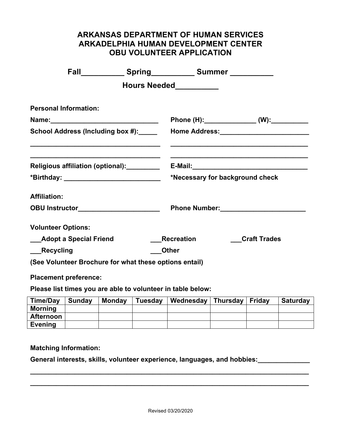## **ARKANSAS DEPARTMENT OF HUMAN SERVICES ARKADELPHIA HUMAN DEVELOPMENT CENTER OBU VOLUNTEER APPLICATION**

|                                                     |  |                 |  | Fall_______________Spring_______________Summer ______________ |  |                     |                 |
|-----------------------------------------------------|--|-----------------|--|---------------------------------------------------------------|--|---------------------|-----------------|
|                                                     |  |                 |  | Hours Needed <b>National Property</b>                         |  |                     |                 |
| <b>Personal Information:</b>                        |  |                 |  |                                                               |  |                     |                 |
|                                                     |  |                 |  |                                                               |  |                     |                 |
| School Address (Including box #): _____             |  |                 |  |                                                               |  |                     |                 |
| Religious affiliation (optional): <b>Netcontral</b> |  |                 |  |                                                               |  |                     |                 |
| *Birthday: ______________________________           |  |                 |  | *Necessary for background check                               |  |                     |                 |
| <b>Affiliation:</b>                                 |  |                 |  |                                                               |  |                     |                 |
| OBU Instructor______________________                |  |                 |  |                                                               |  |                     |                 |
| <b>Volunteer Options:</b>                           |  |                 |  |                                                               |  |                     |                 |
| ___Adopt a Special Friend                           |  |                 |  | <b>Recreation</b>                                             |  | <b>Craft Trades</b> |                 |
| ___Recycling                                        |  |                 |  | <b>Other</b>                                                  |  |                     |                 |
|                                                     |  |                 |  | (See Volunteer Brochure for what these options entail)        |  |                     |                 |
| <b>Placement preference:</b>                        |  |                 |  | Please list times you are able to volunteer in table below:   |  |                     |                 |
| <b>Time/Day</b>                                     |  | Sunday   Monday |  | Tuesday   Wednesday   Thursday                                |  | Friday              | <b>Saturday</b> |
| <b>Morning</b>                                      |  |                 |  |                                                               |  |                     |                 |

**Matching Information:**

**Afternoon Evening**

**General interests, skills, volunteer experience, languages, and hobbies:\_\_\_\_\_\_\_\_\_\_\_\_\_\_**

**\_\_\_\_\_\_\_\_\_\_\_\_\_\_\_\_\_\_\_\_\_\_\_\_\_\_\_\_\_\_\_\_\_\_\_\_\_\_\_\_\_\_\_\_\_\_\_\_\_\_\_\_\_\_\_\_\_\_\_\_\_\_\_\_\_\_\_\_\_\_\_\_\_\_\_**

**\_\_\_\_\_\_\_\_\_\_\_\_\_\_\_\_\_\_\_\_\_\_\_\_\_\_\_\_\_\_\_\_\_\_\_\_\_\_\_\_\_\_\_\_\_\_\_\_\_\_\_\_\_\_\_\_\_\_\_\_\_\_\_\_\_\_\_\_\_\_\_\_\_\_\_**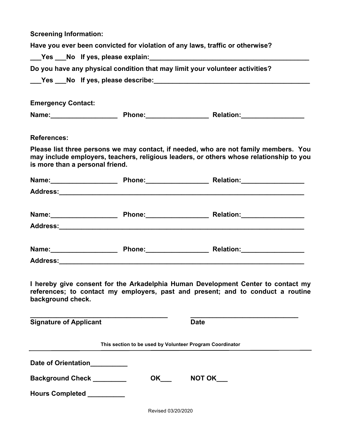**Screening Information:**

| Have you ever been convicted for violation of any laws, traffic or otherwise?                                                                                                            |             |                                                                                                                                                                                 |  |  |  |  |  |
|------------------------------------------------------------------------------------------------------------------------------------------------------------------------------------------|-------------|---------------------------------------------------------------------------------------------------------------------------------------------------------------------------------|--|--|--|--|--|
|                                                                                                                                                                                          |             |                                                                                                                                                                                 |  |  |  |  |  |
| Do you have any physical condition that may limit your volunteer activities?                                                                                                             |             |                                                                                                                                                                                 |  |  |  |  |  |
|                                                                                                                                                                                          |             |                                                                                                                                                                                 |  |  |  |  |  |
|                                                                                                                                                                                          |             |                                                                                                                                                                                 |  |  |  |  |  |
| <b>Emergency Contact:</b>                                                                                                                                                                |             |                                                                                                                                                                                 |  |  |  |  |  |
|                                                                                                                                                                                          |             |                                                                                                                                                                                 |  |  |  |  |  |
|                                                                                                                                                                                          |             |                                                                                                                                                                                 |  |  |  |  |  |
| <b>References:</b>                                                                                                                                                                       |             |                                                                                                                                                                                 |  |  |  |  |  |
| is more than a personal friend.                                                                                                                                                          |             | Please list three persons we may contact, if needed, who are not family members. You<br>may include employers, teachers, religious leaders, or others whose relationship to you |  |  |  |  |  |
|                                                                                                                                                                                          |             | Name: Mame: Mame: Mame: Mame: Mame: Mame: Mame: Mame: Mame: Mame: Mame: Mame: Mame: Mame: Mame: Mame: Mame: Ma                                                                  |  |  |  |  |  |
|                                                                                                                                                                                          |             |                                                                                                                                                                                 |  |  |  |  |  |
|                                                                                                                                                                                          |             |                                                                                                                                                                                 |  |  |  |  |  |
|                                                                                                                                                                                          |             |                                                                                                                                                                                 |  |  |  |  |  |
|                                                                                                                                                                                          |             |                                                                                                                                                                                 |  |  |  |  |  |
|                                                                                                                                                                                          |             |                                                                                                                                                                                 |  |  |  |  |  |
|                                                                                                                                                                                          |             | Name: Mame: 2008. Mame: 2008. Phone: 2008. Mame: 2008. Relation: 2008. Mame: 2008. Mame: 2008. Relation: 2008.                                                                  |  |  |  |  |  |
|                                                                                                                                                                                          |             |                                                                                                                                                                                 |  |  |  |  |  |
| I hereby give consent for the Arkadelphia Human Development Center to contact my<br>references; to contact my employers, past and present; and to conduct a routine<br>background check. |             |                                                                                                                                                                                 |  |  |  |  |  |
| <b>Signature of Applicant</b>                                                                                                                                                            | <b>Date</b> |                                                                                                                                                                                 |  |  |  |  |  |
| This section to be used by Volunteer Program Coordinator                                                                                                                                 |             |                                                                                                                                                                                 |  |  |  |  |  |
| Date of Orientation_________                                                                                                                                                             |             |                                                                                                                                                                                 |  |  |  |  |  |
| NOT OK<br>Background Check ________<br>OK                                                                                                                                                |             |                                                                                                                                                                                 |  |  |  |  |  |
| Hours Completed __________                                                                                                                                                               |             |                                                                                                                                                                                 |  |  |  |  |  |

Revised 03/20/2020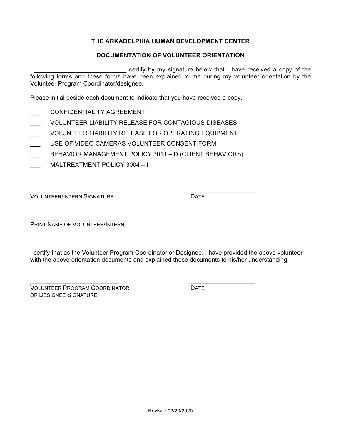## **THE ARKADELPHIA HUMAN DEVELOPMENT CENTER**

## **DOCUMENTATION OF VOLUNTEER ORIENTATION**

I \_\_\_\_\_\_\_\_\_\_\_\_\_\_\_\_\_\_\_\_\_\_\_\_\_\_\_\_\_\_\_\_\_\_\_ certify by my signature below that I have received a copy of the following forms and these forms have been explained to me during my volunteer orientation by the Volunteer Program Coordinator/designee.

Please initial beside each document to indicate that you have received a copy.

- CONFIDENTIAL ITY AGREEMENT
- VOLUNTEER LIABILITY RELEASE FOR CONTAGIOUS DISEASES
- VOLUNTEER LIABILITY RELEASE FOR OPERATING EQUIPMENT
- \_\_\_ USE OF VIDEO CAMERAS VOLUNTEER CONSENT FORM
- \_\_\_ BEHAVIOR MANAGEMENT POLICY 3011 D (CLIENT BEHAVIORS)
- MALTREATMENT POLICY 3004 I

**VOLUNTEER/INTERN SIGNATURE** DATE

 $\mathcal{L}_\mathcal{L}$  , and the contribution of the contribution of the contribution of the contribution of the contribution of the contribution of the contribution of the contribution of the contribution of the contribution of

\_\_\_\_\_\_\_\_\_\_\_\_\_\_\_\_\_\_\_\_\_\_\_\_\_\_ PRINT NAME OF VOLUNTEER/INTERN

I certify that as the Volunteer Program Coordinator or Designee, I have provided the above volunteer with the above orientation documents and explained these documents to his/her understanding.

 $\_$  , and the set of the set of the set of the set of the set of the set of the set of the set of the set of the set of the set of the set of the set of the set of the set of the set of the set of the set of the set of th VOLUNTEER PROGRAM COORDINATOR **EXAMPLE SERVICE SERVICE** OR DESIGNEE SIGNATURE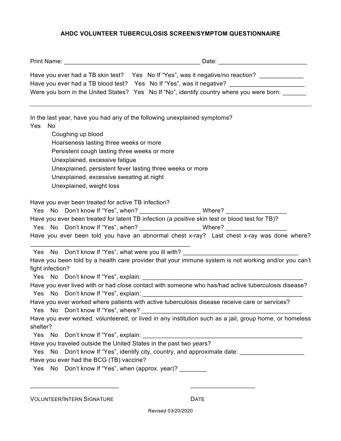## **AHDC VOLUNTEER TUBERCULOSIS SCREEN/SYMPTOM QUESTIONNAIRE**

|                                                                                                                                                                                                                                                                                                 | Have you ever had a TB skin test? Yes No If "Yes", was it negative/no reaction? _____________                                                                                                                                                                                     |  |  |  |  |
|-------------------------------------------------------------------------------------------------------------------------------------------------------------------------------------------------------------------------------------------------------------------------------------------------|-----------------------------------------------------------------------------------------------------------------------------------------------------------------------------------------------------------------------------------------------------------------------------------|--|--|--|--|
|                                                                                                                                                                                                                                                                                                 | Have you ever had a TB blood test? Yes No If "Yes", was it negative? _______________________________                                                                                                                                                                              |  |  |  |  |
|                                                                                                                                                                                                                                                                                                 | Were you born in the United States? Yes No If "No", identify country where you were born:                                                                                                                                                                                         |  |  |  |  |
| Yes<br>No<br>Coughing up blood<br>Hoarseness lasting three weeks or more<br>Persistent cough lasting three weeks or more<br>Unexplained, excessive fatigue<br>Unexplained, persistent fever lasting three weeks or more<br>Unexplained, excessive sweating at night<br>Unexplained, weight loss | In the last year, have you had any of the following unexplained symptoms?                                                                                                                                                                                                         |  |  |  |  |
| Have you ever been treated for active TB infection?                                                                                                                                                                                                                                             | Have you ever been treated for latent TB infection (a positive skin test or blood test for TB)?<br>Yes No Don't know If "Yes", when? _________________________Where? ______________<br>Have you ever been told you have an abnormal chest x-ray? Last chest x-ray was done where? |  |  |  |  |
|                                                                                                                                                                                                                                                                                                 | Yes No Don't know If "Yes", what were you ill with? ____________________________                                                                                                                                                                                                  |  |  |  |  |
|                                                                                                                                                                                                                                                                                                 | Have you been told by a health care provider that your immune system is not working and/or you can't                                                                                                                                                                              |  |  |  |  |
| fight infection?                                                                                                                                                                                                                                                                                |                                                                                                                                                                                                                                                                                   |  |  |  |  |
|                                                                                                                                                                                                                                                                                                 |                                                                                                                                                                                                                                                                                   |  |  |  |  |
|                                                                                                                                                                                                                                                                                                 | Have you ever lived with or had close contact with someone who has/had active tuberculosis disease?                                                                                                                                                                               |  |  |  |  |
|                                                                                                                                                                                                                                                                                                 | Have you ever worked where patients with active tuberculosis disease receive care or services?                                                                                                                                                                                    |  |  |  |  |
|                                                                                                                                                                                                                                                                                                 |                                                                                                                                                                                                                                                                                   |  |  |  |  |
| shelter?                                                                                                                                                                                                                                                                                        | Have you ever worked, volunteered, or lived in any institution such as a jail, group home, or homeless                                                                                                                                                                            |  |  |  |  |
|                                                                                                                                                                                                                                                                                                 |                                                                                                                                                                                                                                                                                   |  |  |  |  |
| Have you traveled outside the United States in the past two years?                                                                                                                                                                                                                              |                                                                                                                                                                                                                                                                                   |  |  |  |  |
|                                                                                                                                                                                                                                                                                                 | Yes No Don't know If "Yes", identify city, country, and approximate date:                                                                                                                                                                                                         |  |  |  |  |
| Have you ever had the BCG (TB) vaccine?                                                                                                                                                                                                                                                         |                                                                                                                                                                                                                                                                                   |  |  |  |  |
| Yes No Don't know If "Yes", when (approx. year)?                                                                                                                                                                                                                                                |                                                                                                                                                                                                                                                                                   |  |  |  |  |
|                                                                                                                                                                                                                                                                                                 |                                                                                                                                                                                                                                                                                   |  |  |  |  |